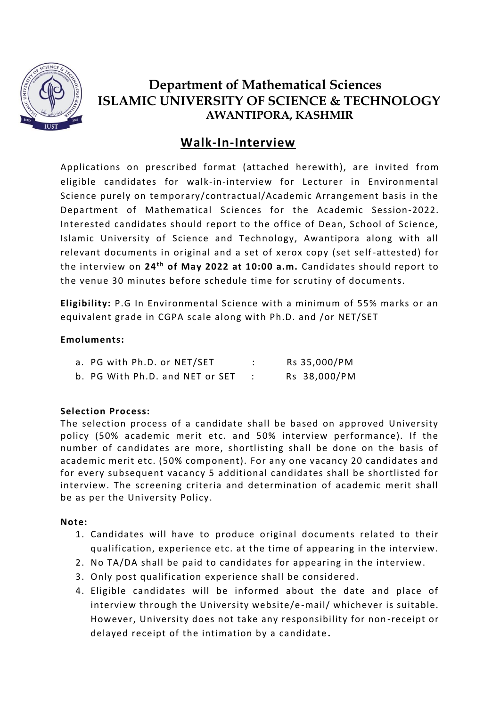

# **Department of Mathematical Sciences ISLAMIC UNIVERSITY OF SCIENCE & TECHNOLOGY AWANTIPORA, KASHMIR**

# **Walk-In-Interview**

Applications on prescribed format (attached herewith), are invited from eligible candidates for walk-in-interview for Lecturer in Environmental Science purely on temporary/contractual/Academic Arrangement basis in the Department of Mathematical Sciences for the Academic Session-2022. Interested candidates should report to the office of Dean, School of Science, Islamic University of Science and Technology, Awantipora along with all relevant documents in original and a set of xerox copy (set self -attested) for the interview on 24<sup>th</sup> of May 2022 at 10:00 a.m. Candidates should report to the venue 30 minutes before schedule time for scrutiny of documents.

**Eligibility:** P.G In Environmental Science with a minimum of 55% marks or an equivalent grade in CGPA scale along with Ph.D. and /or NET/SET

#### **Emoluments:**

| a. PG with Ph.D. or NET/SET     | Rs 35,000/PM |
|---------------------------------|--------------|
| b. PG With Ph.D. and NET or SET | Rs 38,000/PM |

#### **Selection Process:**

The selection process of a candidate shall be based on approved University policy (50% academic merit etc. and 50% interview performance). If the number of candidates are more, shortlisting shall be done on the basis of academic merit etc. (50% component). For any one vacancy 20 candidates and for every subsequent vacancy 5 additional candidates shall be shortlisted for interview. The screening criteria and determination of academic merit shall be as per the University Policy.

#### **Note:**

- 1. Candidates will have to produce original documents related to their qualification, experience etc. at the time of appearing in the interview.
- 2. No TA/DA shall be paid to candidates for appearing in the interview.
- 3. Only post qualification experience shall be considered.
- 4. Eligible candidates will be informed about the date and place of interview through the University website/e -mail/ whichever is suitable. However, University does not take any responsibility for non -receipt or delayed receipt of the intimation by a candidate **.**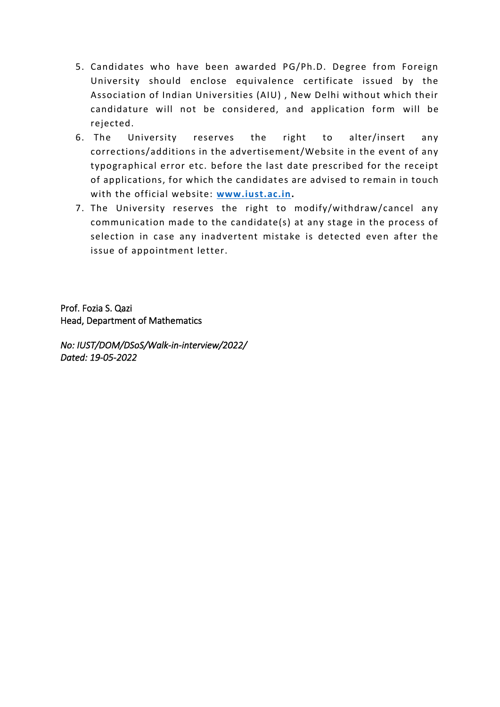- 5. Candidates who have been awarded PG/Ph.D. Degree from Foreign University should enclose equivalence certificate issued by the Association of Indian Universities (AIU) , New Delhi without which their candidature will not be considered, and application form will be rejected.
- 6. The University reserves the right to alter/insert any corrections/additions in the advertisement/Website in the event of any typographical error etc. before the last date prescribed for the receipt of applications, for which the candidates are advised to remain in touch with the official website: **[www.iust.ac.in.](http://www.iust.ac.in/)**
- 7. The University reserves the right to modify/withdraw/cancel any communication made to the candidate(s) at any stage in the process of selection in case any inadvertent mistake is detected even after the issue of appointment letter.

Prof. Fozia S. Qazi Head, Department of Mathematics

*No: IUST/DOM/DSoS/Walk-in-interview/2022/ Dated: 19-05-2022*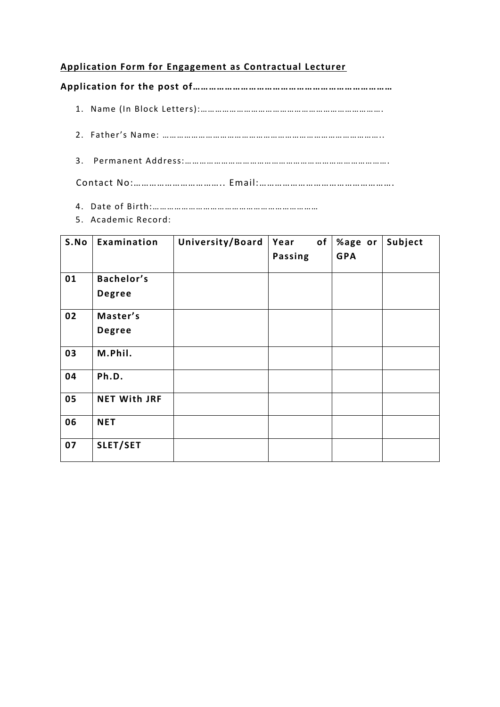### **Application Form for Engagement as Contractual Lecturer**

**Application for the post of…………………………………………………………………**

- 1. Name (In Block Letters):………………………………………………………………….
- 2. Father's Name: ………………………………………………………………………………..
- 3. Permanent Address:………………………………………………………………………….

Contact No:…………………………….. Email:…………………………………………….

- 4. Date of Birth:……………………………………………………………
- 5. Academic Record:

| S.No | Examination                 | University/Board | Year<br><b>Passing</b> | of | %age or<br><b>GPA</b> | Subject |
|------|-----------------------------|------------------|------------------------|----|-----------------------|---------|
| 01   | Bachelor's<br><b>Degree</b> |                  |                        |    |                       |         |
| 02   | Master's<br><b>Degree</b>   |                  |                        |    |                       |         |
| 03   | M.Phil.                     |                  |                        |    |                       |         |
| 04   | Ph.D.                       |                  |                        |    |                       |         |
| 05   | <b>NET With JRF</b>         |                  |                        |    |                       |         |
| 06   | <b>NET</b>                  |                  |                        |    |                       |         |
| 07   | SLET/SET                    |                  |                        |    |                       |         |